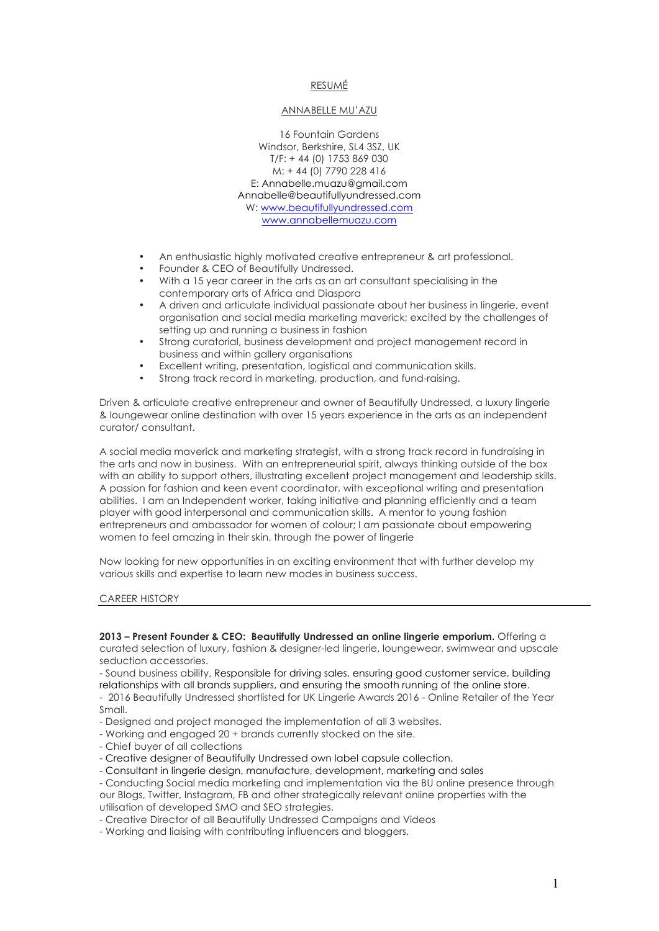# RESUMÉ

### ANNABELLE MU'AZU

16 Fountain Gardens Windsor, Berkshire, SL4 3SZ, UK T/F: + 44 (0) 1753 869 030 M: + 44 (0) 7790 228 416 E: Annabelle.muazu@gmail.com Annabelle@beautifullyundressed.com W: www.beautifullyundressed.com www.annabellemuazu.com

- An enthusiastic highly motivated creative entrepreneur & art professional.
- Founder & CEO of Beautifully Undressed.
- With a 15 year career in the arts as an art consultant specialising in the contemporary arts of Africa and Diaspora
- A driven and articulate individual passionate about her business in lingerie, event organisation and social media marketing maverick; excited by the challenges of setting up and running a business in fashion
- Strong curatorial, business development and project management record in business and within gallery organisations
- Excellent writing, presentation, logistical and communication skills.
- Strong track record in marketing, production, and fund-raising.

Driven & articulate creative entrepreneur and owner of Beautifully Undressed, a luxury lingerie & loungewear online destination with over 15 years experience in the arts as an independent curator/ consultant.

A social media maverick and marketing strategist, with a strong track record in fundraising in the arts and now in business. With an entrepreneurial spirit, always thinking outside of the box with an ability to support others, illustrating excellent project management and leadership skills. A passion for fashion and keen event coordinator, with exceptional writing and presentation abilities. I am an Independent worker, taking initiative and planning efficiently and a team player with good interpersonal and communication skills. A mentor to young fashion entrepreneurs and ambassador for women of colour; I am passionate about empowering women to feel amazing in their skin, through the power of lingerie

Now looking for new opportunities in an exciting environment that with further develop my various skills and expertise to learn new modes in business success.

#### CAREER HISTORY

**2013 – Present Founder & CEO: Beautifully Undressed an online lingerie emporium.** Offering a curated selection of luxury, fashion & designer-led lingerie, loungewear, swimwear and upscale seduction accessories.

- Sound business ability, Responsible for driving sales, ensuring good customer service, building relationships with all brands suppliers, and ensuring the smooth running of the online store.

- 2016 Beautifully Undressed shortlisted for UK Lingerie Awards 2016 - Online Retailer of the Year Small.

- Designed and project managed the implementation of all 3 websites.
- Working and engaged 20 + brands currently stocked on the site.
- Chief buyer of all collections
- Creative designer of Beautifully Undressed own label capsule collection.
- Consultant in lingerie design, manufacture, development, marketing and sales

- Conducting Social media marketing and implementation via the BU online presence through our Blogs, Twitter, Instagram, FB and other strategically relevant online properties with the utilisation of developed SMO and SEO strategies.

- Creative Director of all Beautifully Undressed Campaigns and Videos
- Working and liaising with contributing influencers and bloggers.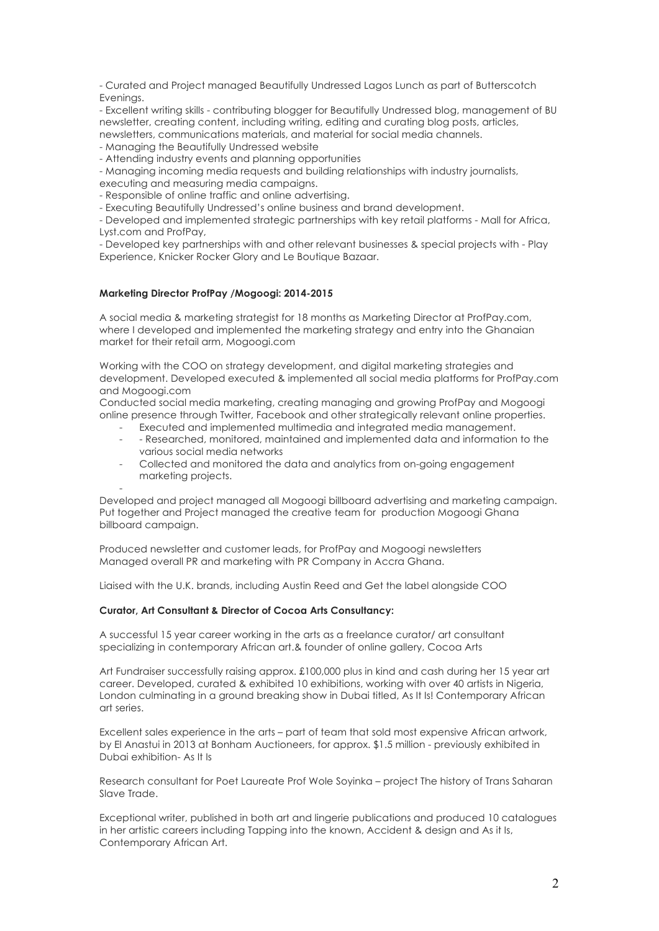- Curated and Project managed Beautifully Undressed Lagos Lunch as part of Butterscotch **Evenings** 

- Excellent writing skills - contributing blogger for Beautifully Undressed blog, management of BU newsletter, creating content, including writing, editing and curating blog posts, articles, newsletters, communications materials, and material for social media channels.

- Managing the Beautifully Undressed website

- Attending industry events and planning opportunities

- Managing incoming media requests and building relationships with industry journalists, executing and measuring media campaigns.

- Responsible of online traffic and online advertising.

- Executing Beautifully Undressed's online business and brand development.

- Developed and implemented strategic partnerships with key retail platforms - Mall for Africa, Lyst.com and ProfPay,

- Developed key partnerships with and other relevant businesses & special projects with - Play Experience, Knicker Rocker Glory and Le Boutique Bazaar.

### **Marketing Director ProfPay /Mogoogi: 2014-2015**

A social media & marketing strategist for 18 months as Marketing Director at ProfPay.com, where I developed and implemented the marketing strategy and entry into the Ghanaian market for their retail arm, Mogoogi.com

Working with the COO on strategy development, and digital marketing strategies and development. Developed executed & implemented all social media platforms for ProfPay.com and Mogoogi.com

Conducted social media marketing, creating managing and growing ProfPay and Mogoogi online presence through Twitter, Facebook and other strategically relevant online properties.

- Executed and implemented multimedia and integrated media management.
- - Researched, monitored, maintained and implemented data and information to the various social media networks
- Collected and monitored the data and analytics from on-going engagement marketing projects.

- Developed and project managed all Mogoogi billboard advertising and marketing campaign. Put together and Project managed the creative team for production Mogoogi Ghana billboard campaign.

Produced newsletter and customer leads, for ProfPay and Mogoogi newsletters Managed overall PR and marketing with PR Company in Accra Ghana.

Liaised with the U.K. brands, including Austin Reed and Get the label alongside COO

## **Curator, Art Consultant & Director of Cocoa Arts Consultancy:**

A successful 15 year career working in the arts as a freelance curator/ art consultant specializing in contemporary African art.& founder of online gallery, Cocoa Arts

Art Fundraiser successfully raising approx. £100,000 plus in kind and cash during her 15 year art career. Developed, curated & exhibited 10 exhibitions, working with over 40 artists in Nigeria, London culminating in a ground breaking show in Dubai titled, As It Is! Contemporary African art series.

Excellent sales experience in the arts – part of team that sold most expensive African artwork, by El Anastui in 2013 at Bonham Auctioneers, for approx. \$1.5 million - previously exhibited in Dubai exhibition- As It Is

Research consultant for Poet Laureate Prof Wole Soyinka – project The history of Trans Saharan Slave Trade.

Exceptional writer, published in both art and lingerie publications and produced 10 catalogues in her artistic careers including Tapping into the known, Accident & design and As it Is, Contemporary African Art.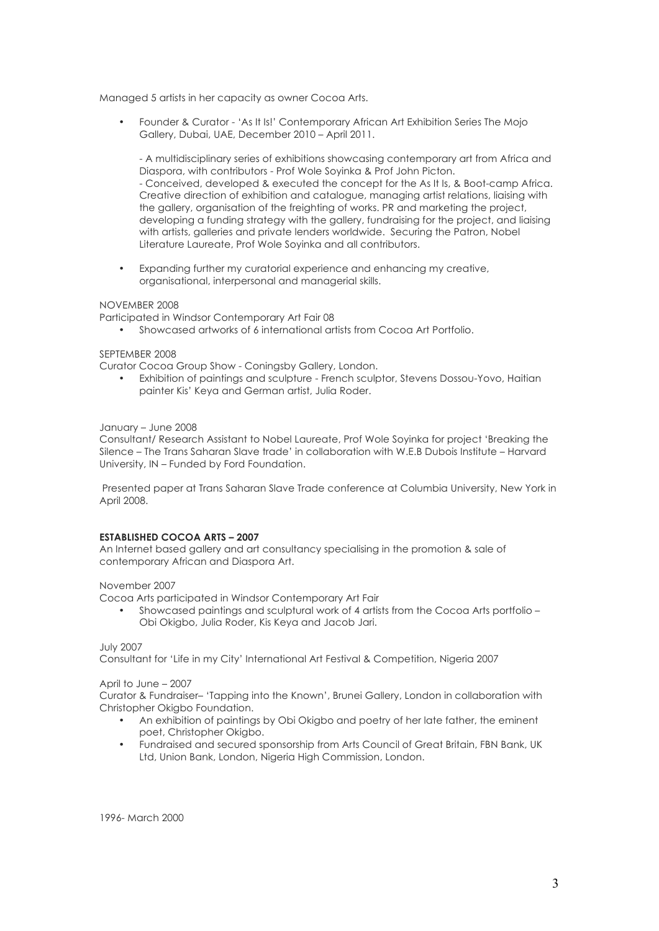Managed 5 artists in her capacity as owner Cocoa Arts.

• Founder & Curator - 'As It Is!' Contemporary African Art Exhibition Series The Mojo Gallery, Dubai, UAE, December 2010 – April 2011.

- A multidisciplinary series of exhibitions showcasing contemporary art from Africa and Diaspora, with contributors - Prof Wole Soyinka & Prof John Picton. - Conceived, developed & executed the concept for the As It Is, & Boot-camp Africa. Creative direction of exhibition and catalogue, managing artist relations, liaising with the gallery, organisation of the freighting of works. PR and marketing the project, developing a funding strategy with the gallery, fundraising for the project, and liaising with artists, galleries and private lenders worldwide. Securing the Patron, Nobel Literature Laureate, Prof Wole Soyinka and all contributors.

• Expanding further my curatorial experience and enhancing my creative, organisational, interpersonal and managerial skills.

### NOVEMBER 2008

Participated in Windsor Contemporary Art Fair 08

• Showcased artworks of 6 international artists from Cocoa Art Portfolio.

### SEPTEMBER 2008

Curator Cocoa Group Show - Coningsby Gallery, London.

• Exhibition of paintings and sculpture - French sculptor, Stevens Dossou-Yovo, Haitian painter Kis' Keya and German artist, Julia Roder.

#### January – June 2008

Consultant/ Research Assistant to Nobel Laureate, Prof Wole Soyinka for project 'Breaking the Silence – The Trans Saharan Slave trade' in collaboration with W.E.B Dubois Institute – Harvard University, IN – Funded by Ford Foundation.

Presented paper at Trans Saharan Slave Trade conference at Columbia University, New York in April 2008.

#### **ESTABLISHED COCOA ARTS – 2007**

An Internet based gallery and art consultancy specialising in the promotion & sale of contemporary African and Diaspora Art.

#### November 2007

Cocoa Arts participated in Windsor Contemporary Art Fair

• Showcased paintings and sculptural work of 4 artists from the Cocoa Arts portfolio – Obi Okigbo, Julia Roder, Kis Keya and Jacob Jari.

# July 2007

Consultant for 'Life in my City' International Art Festival & Competition, Nigeria 2007

# April to June – 2007

Curator & Fundraiser– 'Tapping into the Known', Brunei Gallery, London in collaboration with Christopher Okigbo Foundation.

- An exhibition of paintings by Obi Okigbo and poetry of her late father, the eminent poet, Christopher Okigbo.
- Fundraised and secured sponsorship from Arts Council of Great Britain, FBN Bank, UK Ltd, Union Bank, London, Nigeria High Commission, London.

1996- March 2000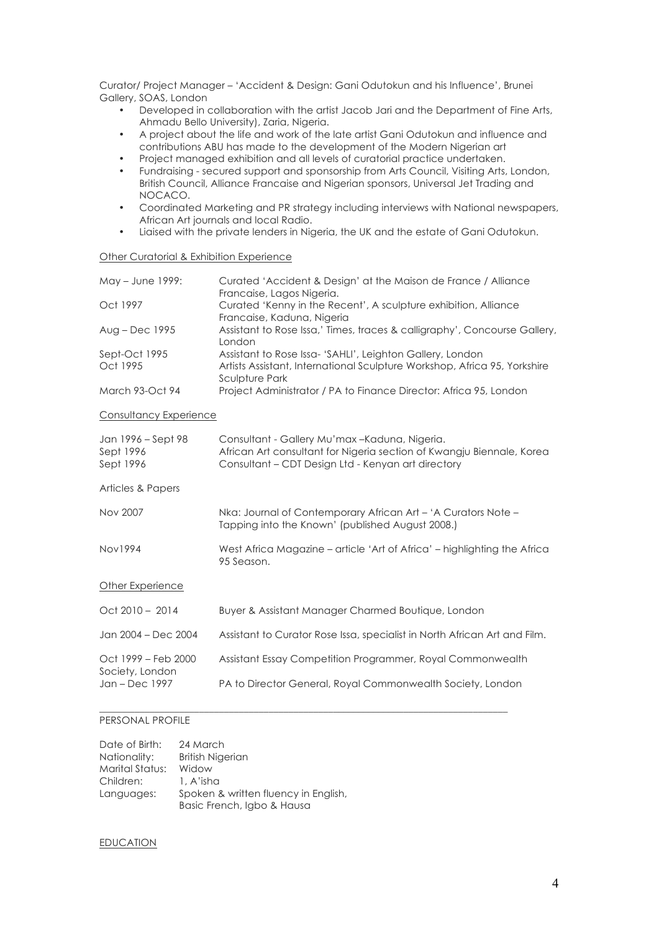Curator/ Project Manager – 'Accident & Design: Gani Odutokun and his Influence', Brunei Gallery, SOAS, London

- Developed in collaboration with the artist Jacob Jari and the Department of Fine Arts, Ahmadu Bello University), Zaria, Nigeria.
- A project about the life and work of the late artist Gani Odutokun and influence and contributions ABU has made to the development of the Modern Nigerian art
- Project managed exhibition and all levels of curatorial practice undertaken.
- Fundraising secured support and sponsorship from Arts Council, Visiting Arts, London, British Council, Alliance Francaise and Nigerian sponsors, Universal Jet Trading and NOCACO.
- Coordinated Marketing and PR strategy including interviews with National newspapers, African Art journals and local Radio.
- Liaised with the private lenders in Nigeria, the UK and the estate of Gani Odutokun.

### Other Curatorial & Exhibition Experience

| May - June 1999:                             | Curated 'Accident & Design' at the Maison de France / Alliance<br>Francaise, Lagos Nigeria.                                                                                   |
|----------------------------------------------|-------------------------------------------------------------------------------------------------------------------------------------------------------------------------------|
| Oct 1997                                     | Curated 'Kenny in the Recent', A sculpture exhibition, Alliance<br>Francaise, Kaduna, Nigeria                                                                                 |
| Aug – Dec 1995                               | Assistant to Rose Issa,' Times, traces & calligraphy', Concourse Gallery,<br>London                                                                                           |
| Sept-Oct 1995<br>Oct 1995                    | Assistant to Rose Issa- 'SAHLI', Leighton Gallery, London<br>Artists Assistant, International Sculpture Workshop, Africa 95, Yorkshire<br><b>Sculpture Park</b>               |
| March 93-Oct 94                              | Project Administrator / PA to Finance Director: Africa 95, London                                                                                                             |
| Consultancy Experience                       |                                                                                                                                                                               |
| Jan 1996 – Sept 98<br>Sept 1996<br>Sept 1996 | Consultant - Gallery Mu'max - Kaduna, Nigeria.<br>African Art consultant for Nigeria section of Kwangju Biennale, Korea<br>Consultant - CDT Design Ltd - Kenyan art directory |
| Articles & Papers                            |                                                                                                                                                                               |
| Nov 2007                                     | Nka: Journal of Contemporary African Art - 'A Curators Note -<br>Tapping into the Known' (published August 2008.)                                                             |
| <b>Nov1994</b>                               | West Africa Magazine – article 'Art of Africa' – highlighting the Africa<br>95 Season.                                                                                        |
| Other Experience                             |                                                                                                                                                                               |
| $Oct$ 2010 - 2014                            | Buyer & Assistant Manager Charmed Boutique, London                                                                                                                            |
| Jan 2004 - Dec 2004                          | Assistant to Curator Rose Issa, specialist in North African Art and Film.                                                                                                     |
| Oct 1999 - Feb 2000                          | Assistant Essay Competition Programmer, Royal Commonwealth                                                                                                                    |
| Society, London<br>Jan - Dec 1997            | PA to Director General, Royal Commonwealth Society, London                                                                                                                    |

\_\_\_\_\_\_\_\_\_\_\_\_\_\_\_\_\_\_\_\_\_\_\_\_\_\_\_\_\_\_\_\_\_\_\_\_\_\_\_\_\_\_\_\_\_\_\_\_\_\_\_\_\_\_\_\_\_\_\_\_\_\_\_\_\_\_\_\_\_\_\_\_\_\_\_\_\_\_\_\_\_\_

# PERSONAL PROFILE

| Date of Birth:  | 24 March                             |
|-----------------|--------------------------------------|
| Nationality:    | <b>British Nigerian</b>              |
| Marital Status: | Widow                                |
| Children:       | 1. A'isha                            |
| Languages:      | Spoken & written fluency in English, |
|                 | Basic French, Igbo & Hausa           |

### EDUCATION